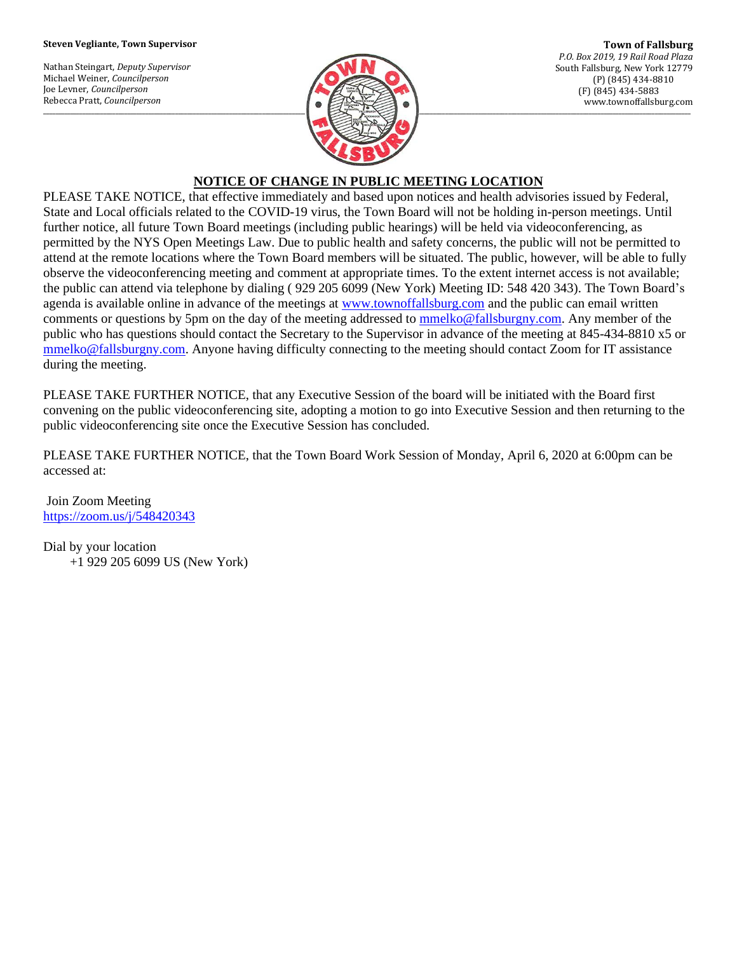## **Steven Vegliante, Town Supervisor**

Nathan Steingart, *Deputy Supervisor* Michael Weiner, *Councilperson* Joe Levner, *Councilperson* Rebecca Pratt, *Councilperson*



**Town of Fallsburg** *P.O. Box 2019, 19 Rail Road Plaza* South Fallsburg, New York 12779 (P) (845) 434-8810 (F) (845) 434-5883 www.townoffallsburg.com

## **NOTICE OF CHANGE IN PUBLIC MEETING LOCATION**

PLEASE TAKE NOTICE, that effective immediately and based upon notices and health advisories issued by Federal, State and Local officials related to the COVID-19 virus, the Town Board will not be holding in-person meetings. Until further notice, all future Town Board meetings (including public hearings) will be held via videoconferencing, as permitted by the NYS Open Meetings Law. Due to public health and safety concerns, the public will not be permitted to attend at the remote locations where the Town Board members will be situated. The public, however, will be able to fully observe the videoconferencing meeting and comment at appropriate times. To the extent internet access is not available; the public can attend via telephone by dialing ( 929 205 6099 (New York) Meeting ID: 548 420 343). The Town Board's agenda is available online in advance of the meetings at [www.townoffallsburg.com](http://www.townoffallsburg.com/) and the public can email written comments or questions by 5pm on the day of the meeting addressed to [mmelko@fallsburgny.com.](mailto:mmelko@fallsburgny.com) Any member of the public who has questions should contact the Secretary to the Supervisor in advance of the meeting at 845-434-8810 x5 or [mmelko@fallsburgny.com.](mailto:mmelko@fallsburgny.com) Anyone having difficulty connecting to the meeting should contact Zoom for IT assistance during the meeting.

PLEASE TAKE FURTHER NOTICE, that any Executive Session of the board will be initiated with the Board first convening on the public videoconferencing site, adopting a motion to go into Executive Session and then returning to the public videoconferencing site once the Executive Session has concluded.

PLEASE TAKE FURTHER NOTICE, that the Town Board Work Session of Monday, April 6, 2020 at 6:00pm can be accessed at:

Join Zoom Meeting <https://zoom.us/j/548420343>

Dial by your location +1 929 205 6099 US (New York)